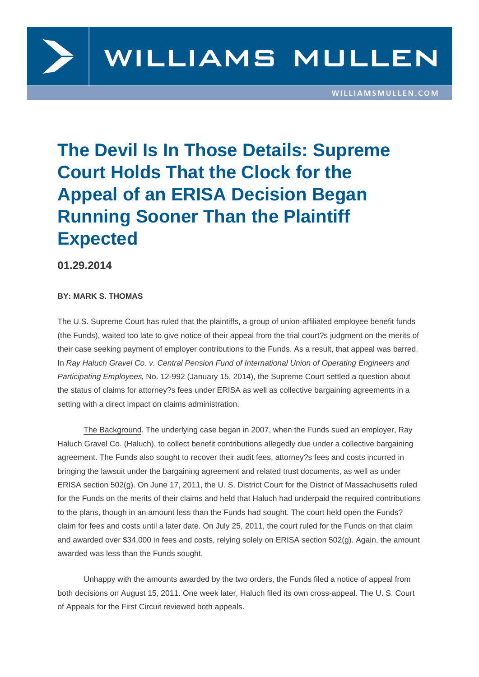

## **The Devil Is In Those Details: Supreme Court Holds That the Clock for the Appeal of an ERISA Decision Began Running Sooner Than the Plaintiff Expected**

**01.29.2014**

## **BY: MARK S. THOMAS**

The U.S. Supreme Court has ruled that the plaintiffs, a group of union-affiliated employee benefit funds (the Funds), waited too late to give notice of their appeal from the trial court?s judgment on the merits of their case seeking payment of employer contributions to the Funds. As a result, that appeal was barred. In Ray Haluch Gravel Co. v. Central Pension Fund of International Union of Operating Engineers and Participating Employees, No. 12-992 (January 15, 2014), the Supreme Court settled a question about the status of claims for attorney?s fees under ERISA as well as collective bargaining agreements in a setting with a direct impact on claims administration.

 The Background. The underlying case began in 2007, when the Funds sued an employer, Ray Haluch Gravel Co. (Haluch), to collect benefit contributions allegedly due under a collective bargaining agreement. The Funds also sought to recover their audit fees, attorney?s fees and costs incurred in bringing the lawsuit under the bargaining agreement and related trust documents, as well as under ERISA section 502(g). On June 17, 2011, the U. S. District Court for the District of Massachusetts ruled for the Funds on the merits of their claims and held that Haluch had underpaid the required contributions to the plans, though in an amount less than the Funds had sought. The court held open the Funds? claim for fees and costs until a later date. On July 25, 2011, the court ruled for the Funds on that claim and awarded over \$34,000 in fees and costs, relying solely on ERISA section 502(g). Again, the amount awarded was less than the Funds sought.

 Unhappy with the amounts awarded by the two orders, the Funds filed a notice of appeal from both decisions on August 15, 2011. One week later, Haluch filed its own cross-appeal. The U. S. Court of Appeals for the First Circuit reviewed both appeals.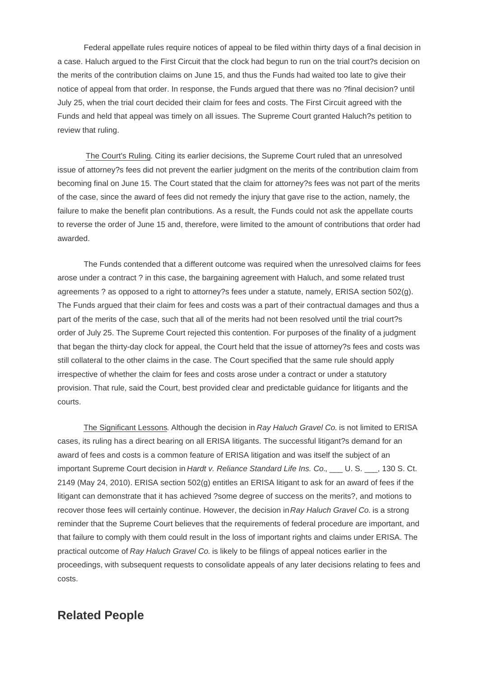Federal appellate rules require notices of appeal to be filed within thirty days of a final decision in a case. Haluch argued to the First Circuit that the clock had begun to run on the trial court?s decision on the merits of the contribution claims on June 15, and thus the Funds had waited too late to give their notice of appeal from that order. In response, the Funds argued that there was no ?final decision? until July 25, when the trial court decided their claim for fees and costs. The First Circuit agreed with the Funds and held that appeal was timely on all issues. The Supreme Court granted Haluch?s petition to review that ruling.

 The Court's Ruling. Citing its earlier decisions, the Supreme Court ruled that an unresolved issue of attorney?s fees did not prevent the earlier judgment on the merits of the contribution claim from becoming final on June 15. The Court stated that the claim for attorney?s fees was not part of the merits of the case, since the award of fees did not remedy the injury that gave rise to the action, namely, the failure to make the benefit plan contributions. As a result, the Funds could not ask the appellate courts to reverse the order of June 15 and, therefore, were limited to the amount of contributions that order had awarded.

 The Funds contended that a different outcome was required when the unresolved claims for fees arose under a contract ? in this case, the bargaining agreement with Haluch, and some related trust agreements ? as opposed to a right to attorney?s fees under a statute, namely, ERISA section 502(g). The Funds argued that their claim for fees and costs was a part of their contractual damages and thus a part of the merits of the case, such that all of the merits had not been resolved until the trial court?s order of July 25. The Supreme Court rejected this contention. For purposes of the finality of a judgment that began the thirty-day clock for appeal, the Court held that the issue of attorney?s fees and costs was still collateral to the other claims in the case. The Court specified that the same rule should apply irrespective of whether the claim for fees and costs arose under a contract or under a statutory provision. That rule, said the Court, best provided clear and predictable guidance for litigants and the courts.

The Significant Lessons. Although the decision in Ray Haluch Gravel Co. is not limited to ERISA cases, its ruling has a direct bearing on all ERISA litigants. The successful litigant?s demand for an award of fees and costs is a common feature of ERISA litigation and was itself the subject of an important Supreme Court decision in Hardt v. Reliance Standard Life Ins. Co., \_\_\_ U. S. \_\_\_, 130 S. Ct. 2149 (May 24, 2010). ERISA section 502(g) entitles an ERISA litigant to ask for an award of fees if the litigant can demonstrate that it has achieved ?some degree of success on the merits?, and motions to recover those fees will certainly continue. However, the decision in Ray Haluch Gravel Co. is a strong reminder that the Supreme Court believes that the requirements of federal procedure are important, and that failure to comply with them could result in the loss of important rights and claims under ERISA. The practical outcome of Ray Haluch Gravel Co. is likely to be filings of appeal notices earlier in the proceedings, with subsequent requests to consolidate appeals of any later decisions relating to fees and costs.

## **Related People**